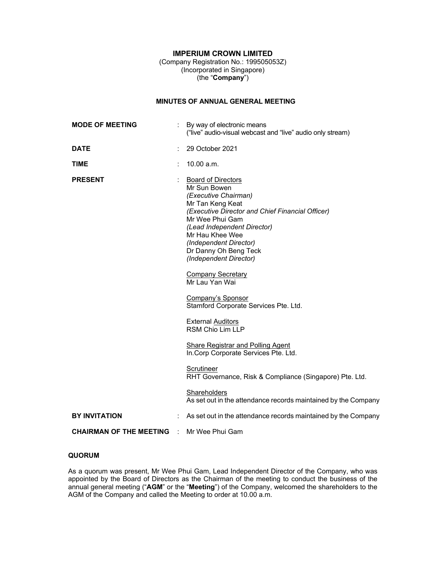# **IMPERIUM CROWN LIMITED**

(Company Registration No.: 199505053Z) (Incorporated in Singapore) (the "**Company**")

# **MINUTES OF ANNUAL GENERAL MEETING**

| <b>MODE OF MEETING</b>                           | By way of electronic means<br>("live" audio-visual webcast and "live" audio only stream)                                                                                                                                                                                                    |
|--------------------------------------------------|---------------------------------------------------------------------------------------------------------------------------------------------------------------------------------------------------------------------------------------------------------------------------------------------|
| <b>DATE</b>                                      | 29 October 2021                                                                                                                                                                                                                                                                             |
| <b>TIME</b>                                      | 10.00 a.m.                                                                                                                                                                                                                                                                                  |
| <b>PRESENT</b>                                   | <b>Board of Directors</b><br>Mr Sun Bowen<br>(Executive Chairman)<br>Mr Tan Keng Keat<br>(Executive Director and Chief Financial Officer)<br>Mr Wee Phui Gam<br>(Lead Independent Director)<br>Mr Hau Khee Wee<br>(Independent Director)<br>Dr Danny Oh Beng Teck<br>(Independent Director) |
|                                                  | <b>Company Secretary</b><br>Mr Lau Yan Wai                                                                                                                                                                                                                                                  |
|                                                  | <b>Company's Sponsor</b><br>Stamford Corporate Services Pte. Ltd.                                                                                                                                                                                                                           |
|                                                  | <b>External Auditors</b><br>RSM Chio Lim LLP                                                                                                                                                                                                                                                |
|                                                  | <b>Share Registrar and Polling Agent</b><br>In.Corp Corporate Services Pte. Ltd.                                                                                                                                                                                                            |
|                                                  | Scrutineer<br>RHT Governance, Risk & Compliance (Singapore) Pte. Ltd.                                                                                                                                                                                                                       |
|                                                  | <b>Shareholders</b><br>As set out in the attendance records maintained by the Company                                                                                                                                                                                                       |
| <b>BY INVITATION</b>                             | As set out in the attendance records maintained by the Company                                                                                                                                                                                                                              |
| <b>CHAIRMAN OF THE MEETING : Mr Wee Phui Gam</b> |                                                                                                                                                                                                                                                                                             |

# **QUORUM**

As a quorum was present, Mr Wee Phui Gam, Lead Independent Director of the Company, who was appointed by the Board of Directors as the Chairman of the meeting to conduct the business of the annual general meeting ("**AGM**" or the "**Meeting**") of the Company, welcomed the shareholders to the AGM of the Company and called the Meeting to order at 10.00 a.m.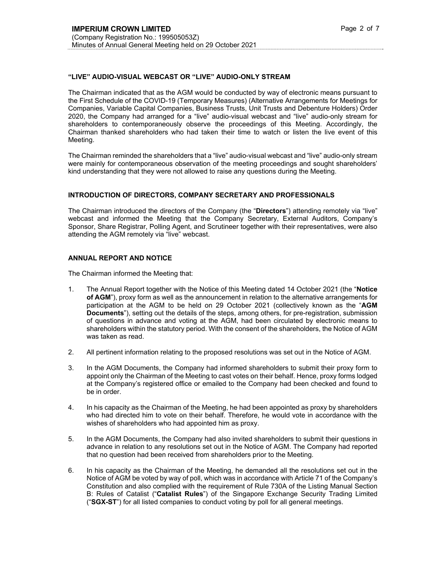## **"LIVE" AUDIO-VISUAL WEBCAST OR "LIVE" AUDIO-ONLY STREAM**

The Chairman indicated that as the AGM would be conducted by way of electronic means pursuant to the First Schedule of the COVID-19 (Temporary Measures) (Alternative Arrangements for Meetings for Companies, Variable Capital Companies, Business Trusts, Unit Trusts and Debenture Holders) Order 2020, the Company had arranged for a "live" audio-visual webcast and "live" audio-only stream for shareholders to contemporaneously observe the proceedings of this Meeting. Accordingly, the Chairman thanked shareholders who had taken their time to watch or listen the live event of this Meeting.

The Chairman reminded the shareholders that a "live" audio-visual webcast and "live" audio-only stream were mainly for contemporaneous observation of the meeting proceedings and sought shareholders' kind understanding that they were not allowed to raise any questions during the Meeting.

#### **INTRODUCTION OF DIRECTORS, COMPANY SECRETARY AND PROFESSIONALS**

The Chairman introduced the directors of the Company (the "**Directors**") attending remotely via "live" webcast and informed the Meeting that the Company Secretary, External Auditors, Company's Sponsor, Share Registrar, Polling Agent, and Scrutineer together with their representatives, were also attending the AGM remotely via "live" webcast.

## **ANNUAL REPORT AND NOTICE**

The Chairman informed the Meeting that:

- 1. The Annual Report together with the Notice of this Meeting dated 14 October 2021 (the "**Notice of AGM**"), proxy form as well as the announcement in relation to the alternative arrangements for participation at the AGM to be held on 29 October 2021 (collectively known as the "**AGM Documents**"), setting out the details of the steps, among others, for pre-registration, submission of questions in advance and voting at the AGM, had been circulated by electronic means to shareholders within the statutory period. With the consent of the shareholders, the Notice of AGM was taken as read.
- 2. All pertinent information relating to the proposed resolutions was set out in the Notice of AGM.
- 3. In the AGM Documents, the Company had informed shareholders to submit their proxy form to appoint only the Chairman of the Meeting to cast votes on their behalf. Hence, proxy forms lodged at the Company's registered office or emailed to the Company had been checked and found to be in order.
- 4. In his capacity as the Chairman of the Meeting, he had been appointed as proxy by shareholders who had directed him to vote on their behalf. Therefore, he would vote in accordance with the wishes of shareholders who had appointed him as proxy.
- 5. In the AGM Documents, the Company had also invited shareholders to submit their questions in advance in relation to any resolutions set out in the Notice of AGM. The Company had reported that no question had been received from shareholders prior to the Meeting.
- 6. In his capacity as the Chairman of the Meeting, he demanded all the resolutions set out in the Notice of AGM be voted by way of poll, which was in accordance with Article 71 of the Company's Constitution and also complied with the requirement of Rule 730A of the Listing Manual Section B: Rules of Catalist ("**Catalist Rules**") of the Singapore Exchange Security Trading Limited ("**SGX-ST**") for all listed companies to conduct voting by poll for all general meetings.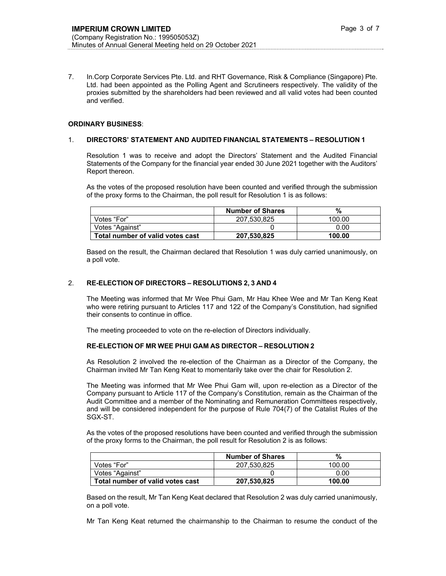7. In.Corp Corporate Services Pte. Ltd. and RHT Governance, Risk & Compliance (Singapore) Pte. Ltd. had been appointed as the Polling Agent and Scrutineers respectively. The validity of the proxies submitted by the shareholders had been reviewed and all valid votes had been counted and verified.

#### **ORDINARY BUSINESS**:

#### 1. **DIRECTORS' STATEMENT AND AUDITED FINANCIAL STATEMENTS – RESOLUTION 1**

Resolution 1 was to receive and adopt the Directors' Statement and the Audited Financial Statements of the Company for the financial year ended 30 June 2021 together with the Auditors' Report thereon.

As the votes of the proposed resolution have been counted and verified through the submission of the proxy forms to the Chairman, the poll result for Resolution 1 is as follows:

|                                  | <b>Number of Shares</b> | %      |
|----------------------------------|-------------------------|--------|
| Votes "For"                      | 207.530.825             | 100.00 |
| Votes "Against"                  |                         | 0.00   |
| Total number of valid votes cast | 207,530,825             | 100.00 |

Based on the result, the Chairman declared that Resolution 1 was duly carried unanimously, on a poll vote.

#### 2. **RE-ELECTION OF DIRECTORS – RESOLUTIONS 2, 3 AND 4**

The Meeting was informed that Mr Wee Phui Gam, Mr Hau Khee Wee and Mr Tan Keng Keat who were retiring pursuant to Articles 117 and 122 of the Company's Constitution, had signified their consents to continue in office.

The meeting proceeded to vote on the re-election of Directors individually.

#### **RE-ELECTION OF MR WEE PHUI GAM AS DIRECTOR – RESOLUTION 2**

As Resolution 2 involved the re-election of the Chairman as a Director of the Company, the Chairman invited Mr Tan Keng Keat to momentarily take over the chair for Resolution 2.

The Meeting was informed that Mr Wee Phui Gam will, upon re-election as a Director of the Company pursuant to Article 117 of the Company's Constitution, remain as the Chairman of the Audit Committee and a member of the Nominating and Remuneration Committees respectively, and will be considered independent for the purpose of Rule 704(7) of the Catalist Rules of the SGX-ST.

As the votes of the proposed resolutions have been counted and verified through the submission of the proxy forms to the Chairman, the poll result for Resolution 2 is as follows:

|                                  | <b>Number of Shares</b> | %      |
|----------------------------------|-------------------------|--------|
| Votes "For"                      | 207.530.825             | 100.00 |
| Votes "Against"                  |                         | 0.00   |
| Total number of valid votes cast | 207.530.825             | 100.00 |

Based on the result, Mr Tan Keng Keat declared that Resolution 2 was duly carried unanimously, on a poll vote.

Mr Tan Keng Keat returned the chairmanship to the Chairman to resume the conduct of the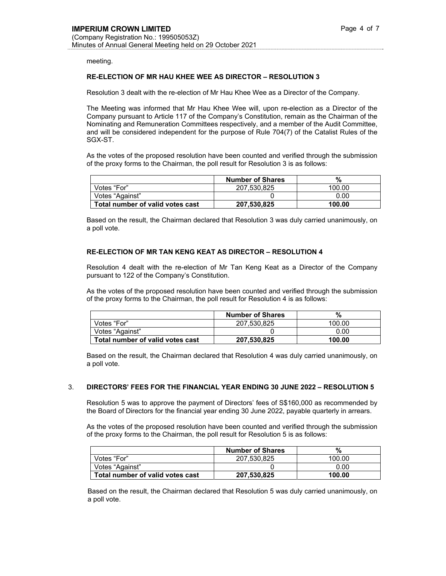meeting.

## **RE-ELECTION OF MR HAU KHEE WEE AS DIRECTOR – RESOLUTION 3**

Resolution 3 dealt with the re-election of Mr Hau Khee Wee as a Director of the Company.

The Meeting was informed that Mr Hau Khee Wee will, upon re-election as a Director of the Company pursuant to Article 117 of the Company's Constitution, remain as the Chairman of the Nominating and Remuneration Committees respectively, and a member of the Audit Committee, and will be considered independent for the purpose of Rule 704(7) of the Catalist Rules of the SGX-ST.

As the votes of the proposed resolution have been counted and verified through the submission of the proxy forms to the Chairman, the poll result for Resolution 3 is as follows:

|                                  | <b>Number of Shares</b> | %      |
|----------------------------------|-------------------------|--------|
| Votes "For"                      | 207.530.825             | 100.00 |
| Votes "Against"                  |                         | 0.00   |
| Total number of valid votes cast | 207,530,825             | 100.00 |

Based on the result, the Chairman declared that Resolution 3 was duly carried unanimously, on a poll vote.

#### **RE-ELECTION OF MR TAN KENG KEAT AS DIRECTOR – RESOLUTION 4**

Resolution 4 dealt with the re-election of Mr Tan Keng Keat as a Director of the Company pursuant to 122 of the Company's Constitution.

As the votes of the proposed resolution have been counted and verified through the submission of the proxy forms to the Chairman, the poll result for Resolution 4 is as follows:

|                                  | <b>Number of Shares</b> | %      |
|----------------------------------|-------------------------|--------|
| Votes "For"                      | 207.530.825             | 100.00 |
| Votes "Against"                  |                         | 0.00   |
| Total number of valid votes cast | 207.530.825             | 100.00 |

Based on the result, the Chairman declared that Resolution 4 was duly carried unanimously, on a poll vote.

#### 3. **DIRECTORS' FEES FOR THE FINANCIAL YEAR ENDING 30 JUNE 2022 – RESOLUTION 5**

Resolution 5 was to approve the payment of Directors' fees of S\$160,000 as recommended by the Board of Directors for the financial year ending 30 June 2022, payable quarterly in arrears.

As the votes of the proposed resolution have been counted and verified through the submission of the proxy forms to the Chairman, the poll result for Resolution 5 is as follows:

|                                  | <b>Number of Shares</b> | %      |
|----------------------------------|-------------------------|--------|
| Votes "For"                      | 207.530.825             | 100.00 |
| Votes "Against"                  |                         | 0.00   |
| Total number of valid votes cast | 207,530,825             | 100.00 |

Based on the result, the Chairman declared that Resolution 5 was duly carried unanimously, on a poll vote.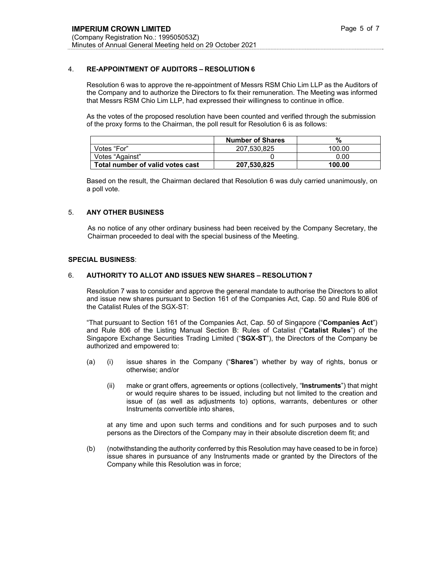# 4. **RE-APPOINTMENT OF AUDITORS – RESOLUTION 6**

Resolution 6 was to approve the re-appointment of Messrs RSM Chio Lim LLP as the Auditors of the Company and to authorize the Directors to fix their remuneration. The Meeting was informed that Messrs RSM Chio Lim LLP, had expressed their willingness to continue in office.

As the votes of the proposed resolution have been counted and verified through the submission of the proxy forms to the Chairman, the poll result for Resolution 6 is as follows:

|                                  | <b>Number of Shares</b> | %      |
|----------------------------------|-------------------------|--------|
| Votes "For"                      | 207.530.825             | 100.00 |
| Votes "Against"                  |                         | 0.00   |
| Total number of valid votes cast | 207,530,825             | 100.00 |

Based on the result, the Chairman declared that Resolution 6 was duly carried unanimously, on a poll vote.

# 5. **ANY OTHER BUSINESS**

 As no notice of any other ordinary business had been received by the Company Secretary, the Chairman proceeded to deal with the special business of the Meeting.

#### **SPECIAL BUSINESS**:

## 6. **AUTHORITY TO ALLOT AND ISSUES NEW SHARES – RESOLUTION 7**

 Resolution 7 was to consider and approve the general mandate to authorise the Directors to allot and issue new shares pursuant to Section 161 of the Companies Act, Cap. 50 and Rule 806 of the Catalist Rules of the SGX-ST:

 "That pursuant to Section 161 of the Companies Act, Cap. 50 of Singapore ("**Companies Act**") and Rule 806 of the Listing Manual Section B: Rules of Catalist ("**Catalist Rules**") of the Singapore Exchange Securities Trading Limited ("**SGX-ST**"), the Directors of the Company be authorized and empowered to:

- (a) (i) issue shares in the Company ("**Shares**") whether by way of rights, bonus or otherwise; and/or
	- (ii) make or grant offers, agreements or options (collectively, "**Instruments**") that might or would require shares to be issued, including but not limited to the creation and issue of (as well as adjustments to) options, warrants, debentures or other Instruments convertible into shares,

 at any time and upon such terms and conditions and for such purposes and to such persons as the Directors of the Company may in their absolute discretion deem fit; and

(b) (notwithstanding the authority conferred by this Resolution may have ceased to be in force) issue shares in pursuance of any Instruments made or granted by the Directors of the Company while this Resolution was in force;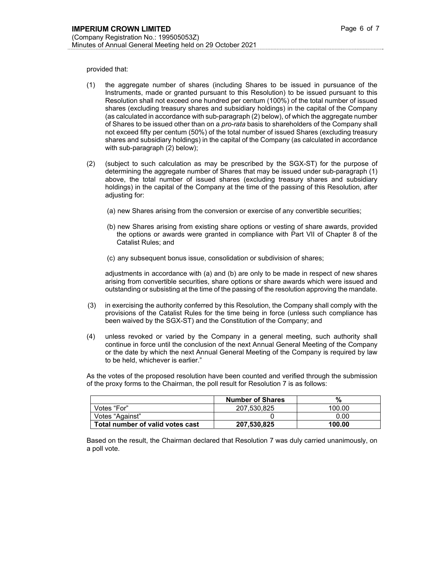provided that:

- (1) the aggregate number of shares (including Shares to be issued in pursuance of the Instruments, made or granted pursuant to this Resolution) to be issued pursuant to this Resolution shall not exceed one hundred per centum (100%) of the total number of issued shares (excluding treasury shares and subsidiary holdings) in the capital of the Company (as calculated in accordance with sub-paragraph (2) below), of which the aggregate number of Shares to be issued other than on a *pro-rata* basis to shareholders of the Company shall not exceed fifty per centum (50%) of the total number of issued Shares (excluding treasury shares and subsidiary holdings) in the capital of the Company (as calculated in accordance with sub-paragraph (2) below);
- (2) (subject to such calculation as may be prescribed by the SGX-ST) for the purpose of determining the aggregate number of Shares that may be issued under sub-paragraph (1) above, the total number of issued shares (excluding treasury shares and subsidiary holdings) in the capital of the Company at the time of the passing of this Resolution, after adjusting for:
	- (a) new Shares arising from the conversion or exercise of any convertible securities;
	- (b) new Shares arising from existing share options or vesting of share awards, provided the options or awards were granted in compliance with Part VII of Chapter 8 of the Catalist Rules; and
	- (c) any subsequent bonus issue, consolidation or subdivision of shares;

adjustments in accordance with (a) and (b) are only to be made in respect of new shares arising from convertible securities, share options or share awards which were issued and outstanding or subsisting at the time of the passing of the resolution approving the mandate.

- (3) in exercising the authority conferred by this Resolution, the Company shall comply with the provisions of the Catalist Rules for the time being in force (unless such compliance has been waived by the SGX-ST) and the Constitution of the Company; and
- (4) unless revoked or varied by the Company in a general meeting, such authority shall continue in force until the conclusion of the next Annual General Meeting of the Company or the date by which the next Annual General Meeting of the Company is required by law to be held, whichever is earlier."

As the votes of the proposed resolution have been counted and verified through the submission of the proxy forms to the Chairman, the poll result for Resolution 7 is as follows:

|                                  | <b>Number of Shares</b> | %      |
|----------------------------------|-------------------------|--------|
| Votes "For"                      | 207.530.825             | 100.00 |
| Votes "Against"                  |                         | 0.00   |
| Total number of valid votes cast | 207.530.825             | 100.00 |

Based on the result, the Chairman declared that Resolution 7 was duly carried unanimously, on a poll vote.